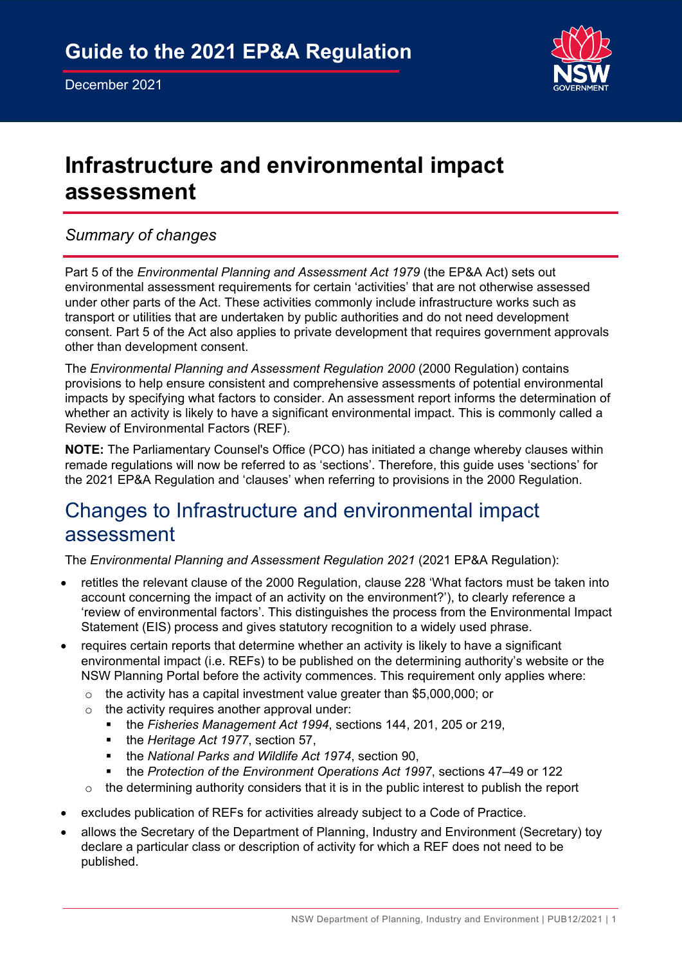

# **Infrastructure and environmental impact assessment**

### *Summary of changes*

Part 5 of the *Environmental Planning and Assessment Act 1979* (the EP&A Act) sets out environmental assessment requirements for certain 'activities' that are not otherwise assessed under other parts of the Act. These activities commonly include infrastructure works such as transport or utilities that are undertaken by public authorities and do not need development consent. Part 5 of the Act also applies to private development that requires government approvals other than development consent.

The *Environmental Planning and Assessment Regulation 2000* (2000 Regulation) contains provisions to help ensure consistent and comprehensive assessments of potential environmental impacts by specifying what factors to consider. An assessment report informs the determination of whether an activity is likely to have a significant environmental impact. This is commonly called a Review of Environmental Factors (REF).

**NOTE:** The Parliamentary Counsel's Office (PCO) has initiated a change whereby clauses within remade regulations will now be referred to as 'sections'. Therefore, this guide uses 'sections' for the 2021 EP&A Regulation and 'clauses' when referring to provisions in the 2000 Regulation.

## Changes to Infrastructure and environmental impact assessment

The *Environmental Planning and Assessment Regulation 2021* (2021 EP&A Regulation):

- retitles the relevant clause of the 2000 Regulation, clause 228 'What factors must be taken into account concerning the impact of an activity on the environment?'), to clearly reference a 'review of environmental factors'. This distinguishes the process from the Environmental Impact Statement (EIS) process and gives statutory recognition to a widely used phrase.
- requires certain reports that determine whether an activity is likely to have a significant environmental impact (i.e. REFs) to be published on the determining authority's website or the NSW Planning Portal before the activity commences. This requirement only applies where:
	- o the activity has a capital investment value greater than \$5,000,000; or
	- $\circ$  the activity requires another approval under:<br> $\bullet$  the Eisheries Management Act 1994, sec
		- the *Fisheries Management Act 1994*, sections 144, 201, 205 or 219,
		- the *Heritage Act 1977*, section 57,
		- **the National Parks and Wildlife Act 1974, section 90,**
		- the *Protection of the Environment Operations Act 1997*, sections 47–49 or 122
	- $\circ$  the determining authority considers that it is in the public interest to publish the report
- excludes publication of REFs for activities already subject to a Code of Practice.
- allows the Secretary of the Department of Planning, Industry and Environment (Secretary) toy declare a particular class or description of activity for which a REF does not need to be published.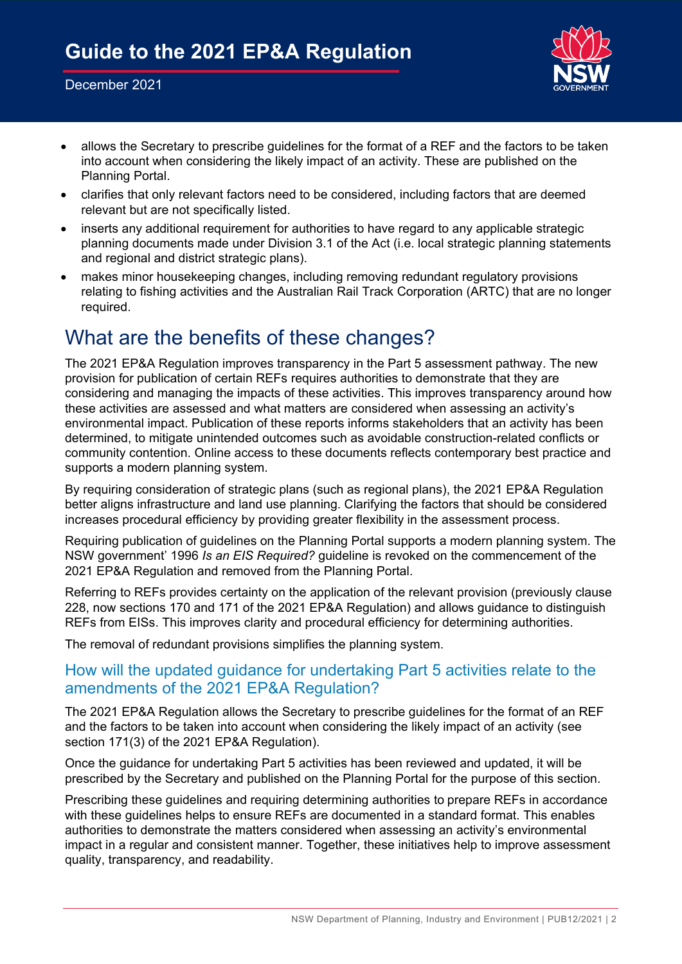#### December 2021



- allows the Secretary to prescribe guidelines for the format of a REF and the factors to be taken into account when considering the likely impact of an activity. These are published on the Planning Portal.
- clarifies that only relevant factors need to be considered, including factors that are deemed relevant but are not specifically listed.
- inserts any additional requirement for authorities to have regard to any applicable strategic planning documents made under Division 3.1 of the Act (i.e. local strategic planning statements and regional and district strategic plans).
- makes minor housekeeping changes, including removing redundant regulatory provisions relating to fishing activities and the Australian Rail Track Corporation (ARTC) that are no longer required.

## What are the benefits of these changes?

The 2021 EP&A Regulation improves transparency in the Part 5 assessment pathway. The new provision for publication of certain REFs requires authorities to demonstrate that they are considering and managing the impacts of these activities. This improves transparency around how these activities are assessed and what matters are considered when assessing an activity's environmental impact. Publication of these reports informs stakeholders that an activity has been determined, to mitigate unintended outcomes such as avoidable construction-related conflicts or community contention. Online access to these documents reflects contemporary best practice and supports a modern planning system.

By requiring consideration of strategic plans (such as regional plans), the 2021 EP&A Regulation better aligns infrastructure and land use planning. Clarifying the factors that should be considered increases procedural efficiency by providing greater flexibility in the assessment process.

Requiring publication of guidelines on the Planning Portal supports a modern planning system. The NSW government' 1996 *Is an EIS Required?* guideline is revoked on the commencement of the 2021 EP&A Regulation and removed from the Planning Portal.

Referring to REFs provides certainty on the application of the relevant provision (previously clause 228, now sections 170 and 171 of the 2021 EP&A Regulation) and allows guidance to distinguish REFs from EISs. This improves clarity and procedural efficiency for determining authorities.

The removal of redundant provisions simplifies the planning system.

### How will the updated guidance for undertaking Part 5 activities relate to the amendments of the 2021 EP&A Regulation?

The 2021 EP&A Regulation allows the Secretary to prescribe guidelines for the format of an REF and the factors to be taken into account when considering the likely impact of an activity (see section 171(3) of the 2021 EP&A Regulation).

Once the guidance for undertaking Part 5 activities has been reviewed and updated, it will be prescribed by the Secretary and published on the Planning Portal for the purpose of this section.

Prescribing these guidelines and requiring determining authorities to prepare REFs in accordance with these guidelines helps to ensure REFs are documented in a standard format. This enables authorities to demonstrate the matters considered when assessing an activity's environmental impact in a regular and consistent manner. Together, these initiatives help to improve assessment quality, transparency, and readability.